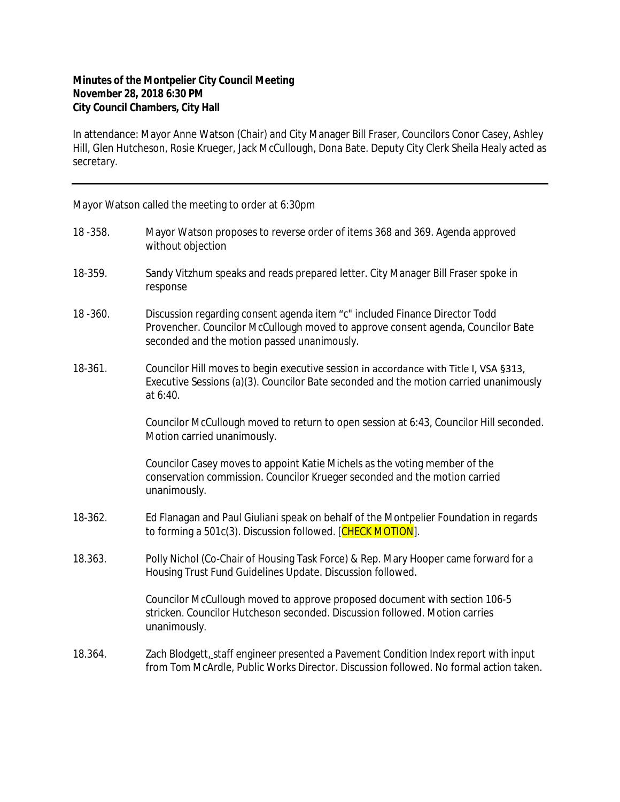## **Minutes of the Montpelier City Council Meeting November 28, 2018 6:30 PM City Council Chambers, City Hall**

In attendance: Mayor Anne Watson (Chair) and City Manager Bill Fraser, Councilors Conor Casey, Ashley Hill, Glen Hutcheson, Rosie Krueger, Jack McCullough, Dona Bate. Deputy City Clerk Sheila Healy acted as secretary.

Mayor Watson called the meeting to order at 6:30pm

| 18 - 358. | Mayor Watson proposes to reverse order of items 368 and 369. Agenda approved<br>without objection                                                                                                              |
|-----------|----------------------------------------------------------------------------------------------------------------------------------------------------------------------------------------------------------------|
| 18-359.   | Sandy Vitzhum speaks and reads prepared letter. City Manager Bill Fraser spoke in<br>response                                                                                                                  |
| 18 - 360. | Discussion regarding consent agenda item "c" included Finance Director Todd<br>Provencher. Councilor McCullough moved to approve consent agenda, Councilor Bate<br>seconded and the motion passed unanimously. |
| 18-361.   | Councilor Hill moves to begin executive session in accordance with Title I, VSA §313,<br>Executive Sessions (a)(3). Councilor Bate seconded and the motion carried unanimously<br>at 6:40.                     |
|           | Councilor McCullough moved to return to open session at 6:43, Councilor Hill seconded.<br>Motion carried unanimously.                                                                                          |
|           | Councilor Casey moves to appoint Katie Michels as the voting member of the<br>conservation commission. Councilor Krueger seconded and the motion carried<br>unanimously.                                       |
| 18-362.   | Ed Flanagan and Paul Giuliani speak on behalf of the Montpelier Foundation in regards<br>to forming a 501c(3). Discussion followed. [CHECK MOTION].                                                            |
| 18.363.   | Polly Nichol (Co-Chair of Housing Task Force) & Rep. Mary Hooper came forward for a<br>Housing Trust Fund Guidelines Update. Discussion followed.                                                              |
|           | Councilor McCullough moved to approve proposed document with section 106-5<br>stricken. Councilor Hutcheson seconded. Discussion followed. Motion carries<br>unanimously.                                      |
| 18.364.   | Zach Blodgett, staff engineer presented a Pavement Condition Index report with input<br>from Tom McArdle, Public Works Director. Discussion followed. No formal action taken.                                  |